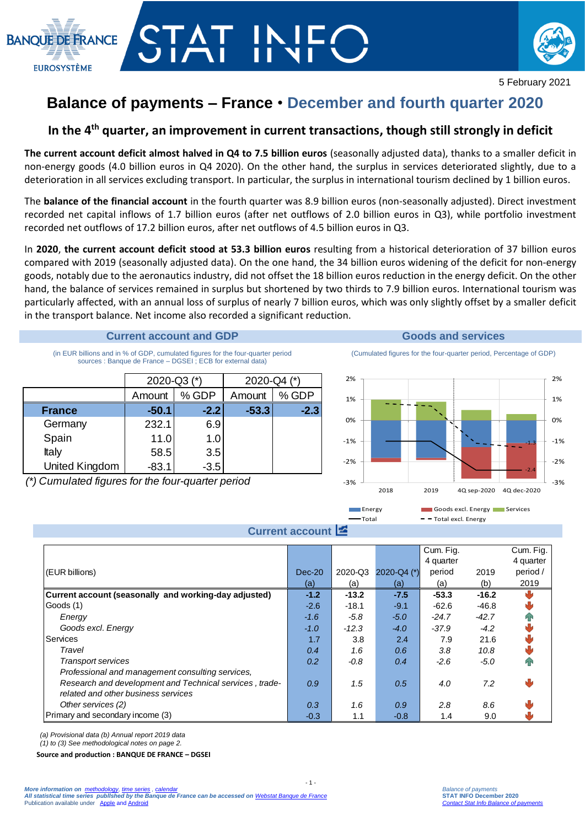



# **Balance of payments – France** • **December and fourth quarter 2020**

## **In the 4th quarter, an improvement in current transactions, though still strongly in deficit**

**The current account deficit almost halved in Q4 to 7.5 billion euros** (seasonally adjusted data), thanks to a smaller deficit in non-energy goods (4.0 billion euros in Q4 2020). On the other hand, the surplus in services deteriorated slightly, due to a deterioration in all services excluding transport. In particular, the surplus in international tourism declined by 1 billion euros.

The **balance of the financial account** in the fourth quarter was 8.9 billion euros (non-seasonally adjusted). Direct investment recorded net capital inflows of 1.7 billion euros (after net outflows of 2.0 billion euros in Q3), while portfolio investment recorded net outflows of 17.2 billion euros, after net outflows of 4.5 billion euros in Q3.

In **2020**, **the current account deficit stood at 53.3 billion euros** resulting from a historical deterioration of 37 billion euros compared with 2019 (seasonally adjusted data). On the one hand, the 34 billion euros widening of the deficit for non-energy goods, notably due to the aeronautics industry, did not offset the 18 billion euros reduction in the energy deficit. On the other hand, the balance of services remained in surplus but shortened by two thirds to 7.9 billion euros. International tourism was particularly affected, with an annual loss of surplus of nearly 7 billion euros, which was only slightly offset by a smaller deficit in the transport balance. Net income also recorded a significant reduction.

#### **Current account and GDP Goods and services**

(in EUR billions and in % of GDP, cumulated figures for the four-quarter period sources : Banque de France – DGSEI ; ECB for external data)

|                | 2020-Q3 (*) |        | 2020-Q4 (*) |        |  |
|----------------|-------------|--------|-------------|--------|--|
|                | Amount      | % GDP  | Amount      | % GDP  |  |
| <b>France</b>  | $-50.1$     | $-2.2$ | $-53.3$     | $-2.3$ |  |
| Germany        | 232.1       | 6.9    |             |        |  |
| Spain          | 11.0        | 1.0    |             |        |  |
| Italy          | 58.5        | 3.5    |             |        |  |
| United Kingdom | $-83.1$     | $-3.5$ |             |        |  |

*(\*) Cumulated figures for the four-quarter period*





|                                                         |          |         |               | Cum. Fig. |         | Cum. Fig. |  |  |  |
|---------------------------------------------------------|----------|---------|---------------|-----------|---------|-----------|--|--|--|
|                                                         |          |         |               | 4 quarter |         | 4 quarter |  |  |  |
| (EUR billions)                                          | $Dec-20$ | 2020-Q3 | 2020-Q4 $(*)$ | period    | 2019    | period /  |  |  |  |
|                                                         | (a)      | (a)     | (a)           | (a)       | (b)     | 2019      |  |  |  |
| Current account (seasonally and working-day adjusted)   | $-1.2$   | $-13.2$ | $-7.5$        | $-53.3$   | $-16.2$ |           |  |  |  |
| Goods (1)                                               | $-2.6$   | $-18.1$ | $-9.1$        | $-62.6$   | $-46.8$ |           |  |  |  |
| Energy                                                  | $-1.6$   | -5.8    | $-5.0$        | $-24.7$   | $-42.7$ |           |  |  |  |
| Goods excl. Energy                                      | $-1.0$   | $-12.3$ | $-4.0$        | $-37.9$   | $-4.2$  |           |  |  |  |
| Services                                                | 1.7      | 3.8     | 2.4           | 7.9       | 21.6    |           |  |  |  |
| Travel                                                  | 0.4      | 1.6     | 0.6           | 3.8       | 10.8    |           |  |  |  |
| <b>Transport services</b>                               | 0.2      | -0.8    | 0.4           | $-2.6$    | $-5.0$  | ИN        |  |  |  |
| Professional and management consulting services,        |          |         |               |           |         |           |  |  |  |
| Research and development and Technical services, trade- | 0.9      | 1.5     | 0.5           | 4.0       | 7.2     | تال       |  |  |  |
| related and other business services                     |          |         |               |           |         |           |  |  |  |
| Other services (2)                                      | 0.3      | 1.6     | 0.9           | 2.8       | 8.6     |           |  |  |  |
| Primary and secondary income (3)                        | $-0.3$   | 1.1     | $-0.8$        | 1.4       | 9.0     |           |  |  |  |

 $-1$ .

*(a) Provisional data (b) Annual report 2019 data* 

*(1) to (3) See methodological notes on page 2.*

**Source and production : BANQUE DE FRANCE – DGSEI**